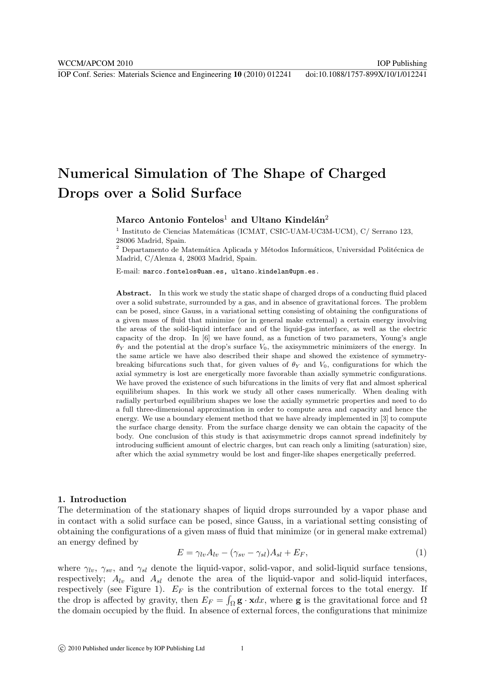# Numerical Simulation of The Shape of Charged Drops over a Solid Surface

## Marco Antonio Fontelos<sup>1</sup> and Ultano Kindelán<sup>2</sup>

<sup>1</sup> Instituto de Ciencias Matemáticas (ICMAT, CSIC-UAM-UC3M-UCM), C/ Serrano 123, 28006 Madrid, Spain.

Departamento de Matemática Aplicada y Métodos Informáticos, Universidad Politécnica de Madrid, C/Alenza 4, 28003 Madrid, Spain.

E-mail: marco.fontelos@uam.es, ultano.kindelan@upm.es.

Abstract. In this work we study the static shape of charged drops of a conducting fluid placed over a solid substrate, surrounded by a gas, and in absence of gravitational forces. The problem can be posed, since Gauss, in a variational setting consisting of obtaining the configurations of a given mass of fluid that minimize (or in general make extremal) a certain energy involving the areas of the solid-liquid interface and of the liquid-gas interface, as well as the electric capacity of the drop. In [6] we have found, as a function of two parameters, Young's angle  $\theta_Y$  and the potential at the drop's surface  $V_0$ , the axisymmetric minimizers of the energy. In the same article we have also described their shape and showed the existence of symmetrybreaking bifurcations such that, for given values of  $\theta_Y$  and  $V_0$ , configurations for which the axial symmetry is lost are energetically more favorable than axially symmetric configurations. We have proved the existence of such bifurcations in the limits of very flat and almost spherical equilibrium shapes. In this work we study all other cases numerically. When dealing with radially perturbed equilibrium shapes we lose the axially symmetric properties and need to do a full three-dimensional approximation in order to compute area and capacity and hence the energy. We use a boundary element method that we have already implemented in [3] to compute the surface charge density. From the surface charge density we can obtain the capacity of the body. One conclusion of this study is that axisymmetric drops cannot spread indefinitely by introducing sufficient amount of electric charges, but can reach only a limiting (saturation) size, after which the axial symmetry would be lost and finger-like shapes energetically preferred.

## 1. Introduction

The determination of the stationary shapes of liquid drops surrounded by a vapor phase and in contact with a solid surface can be posed, since Gauss, in a variational setting consisting of obtaining the configurations of a given mass of fluid that minimize (or in general make extremal) an energy defined by

$$
E = \gamma_{lv} A_{lv} - (\gamma_{sv} - \gamma_{sl}) A_{sl} + E_F,
$$
\n<sup>(1)</sup>

where  $\gamma_{lv}$ ,  $\gamma_{sv}$ , and  $\gamma_{sl}$  denote the liquid-vapor, solid-vapor, and solid-liquid surface tensions, respectively;  $A_{lv}$  and  $A_{sl}$  denote the area of the liquid-vapor and solid-liquid interfaces, respectively (see Figure 1).  $E_F$  is the contribution of external forces to the total energy. If the drop is affected by gravity, then  $E_F = \int_{\Omega} \mathbf{g} \cdot \mathbf{x} dx$ , where **g** is the gravitational force and  $\Omega$ the domain occupied by the fluid. In absence of external forces, the configurations that minimize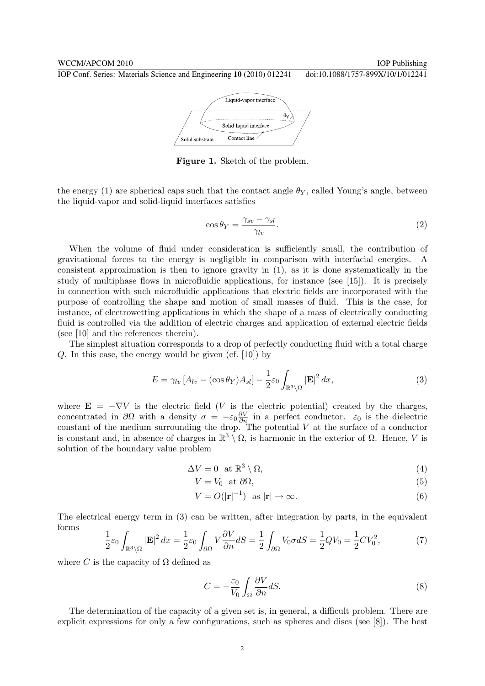WCCM/APCOM 2010 **IOP** Publishing

IOP Conf. Series: Materials Science and Engineering **10** (2010) 012241 doi:10.1088/1757-899X/10/1/012241



Figure 1. Sketch of the problem.

the energy (1) are spherical caps such that the contact angle  $\theta_Y$ , called Young's angle, between the liquid-vapor and solid-liquid interfaces satisfies

$$
\cos \theta_Y = \frac{\gamma_{sv} - \gamma_{sl}}{\gamma_{lv}}.\tag{2}
$$

When the volume of fluid under consideration is sufficiently small, the contribution of gravitational forces to the energy is negligible in comparison with interfacial energies. A consistent approximation is then to ignore gravity in (1), as it is done systematically in the study of multiphase flows in microfluidic applications, for instance (see [15]). It is precisely in connection with such microfluidic applications that electric fields are incorporated with the purpose of controlling the shape and motion of small masses of fluid. This is the case, for instance, of electrowetting applications in which the shape of a mass of electrically conducting fluid is controlled via the addition of electric charges and application of external electric fields (see [10] and the references therein).

The simplest situation corresponds to a drop of perfectly conducting fluid with a total charge Q. In this case, the energy would be given (cf. [10]) by

$$
E = \gamma_{lv} \left[ A_{lv} - (\cos \theta_Y) A_{sl} \right] - \frac{1}{2} \varepsilon_0 \int_{\mathbb{R}^3 \setminus \Omega} |\mathbf{E}|^2 dx,
$$
\n(3)

where  $\mathbf{E} = -\nabla V$  is the electric field (V is the electric potential) created by the charges, concentrated in  $\partial\Omega$  with a density  $\sigma = -\varepsilon_0 \frac{\partial V}{\partial n}$  $\frac{\partial V}{\partial n}$  in a perfect conductor.  $\varepsilon_0$  is the dielectric constant of the medium surrounding the drop. The potential V at the surface of a conductor is constant and, in absence of charges in  $\mathbb{R}^3 \setminus \Omega$ , is harmonic in the exterior of  $\Omega$ . Hence, V is solution of the boundary value problem

$$
\Delta V = 0 \text{ at } \mathbb{R}^3 \setminus \Omega,\tag{4}
$$

$$
V = V_0 \quad \text{at } \partial \Omega,\tag{5}
$$

$$
V = O(|\mathbf{r}|^{-1}) \quad \text{as } |\mathbf{r}| \to \infty. \tag{6}
$$

The electrical energy term in (3) can be written, after integration by parts, in the equivalent forms

$$
\frac{1}{2}\varepsilon_0 \int_{\mathbb{R}^3 \setminus \Omega} |\mathbf{E}|^2 dx = \frac{1}{2}\varepsilon_0 \int_{\partial \Omega} V \frac{\partial V}{\partial n} dS = \frac{1}{2} \int_{\partial \Omega} V_0 \sigma dS = \frac{1}{2}QV_0 = \frac{1}{2}CV_0^2,\tag{7}
$$

where C is the capacity of  $\Omega$  defined as

$$
C = -\frac{\varepsilon_0}{V_0} \int_{\Omega} \frac{\partial V}{\partial n} dS.
$$
\n(8)

The determination of the capacity of a given set is, in general, a difficult problem. There are explicit expressions for only a few configurations, such as spheres and discs (see [8]). The best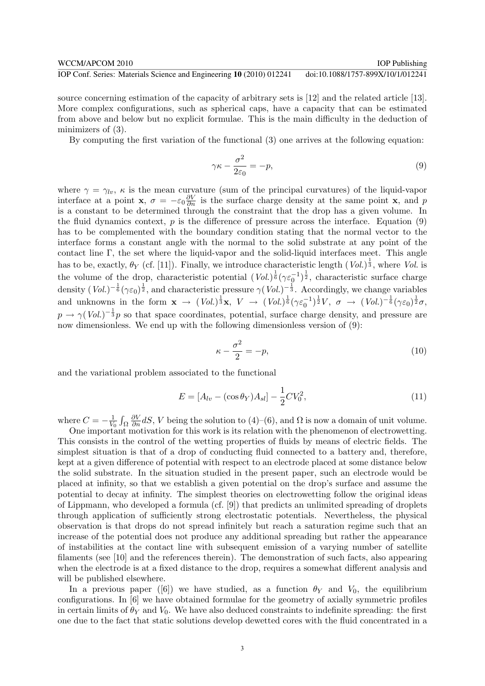source concerning estimation of the capacity of arbitrary sets is [12] and the related article [13]. More complex configurations, such as spherical caps, have a capacity that can be estimated from above and below but no explicit formulae. This is the main difficulty in the deduction of minimizers of (3).

By computing the first variation of the functional (3) one arrives at the following equation:

$$
\gamma \kappa - \frac{\sigma^2}{2\varepsilon_0} = -p,\tag{9}
$$

where  $\gamma = \gamma_{lv}$ ,  $\kappa$  is the mean curvature (sum of the principal curvatures) of the liquid-vapor interface at a point **x**,  $\sigma = -\varepsilon_0 \frac{\partial V}{\partial n}$  $\frac{\partial V}{\partial n}$  is the surface charge density at the same point **x**, and p is a constant to be determined through the constraint that the drop has a given volume. In the fluid dynamics context,  $p$  is the difference of pressure across the interface. Equation (9) has to be complemented with the boundary condition stating that the normal vector to the interface forms a constant angle with the normal to the solid substrate at any point of the contact line Γ, the set where the liquid-vapor and the solid-liquid interfaces meet. This angle has to be, exactly,  $\theta_Y$  (cf. [11]). Finally, we introduce characteristic length  $(Vol.)^{\frac{1}{3}}$ , where Vol. is the volume of the drop, characteristic potential  $(Vol.)^{\frac{1}{6}}(\gamma \varepsilon_0^{-1})^{\frac{1}{2}}$ , characteristic surface charge density  $(Vol.)^{-\frac{1}{6}}(\gamma \varepsilon_0)^{\frac{1}{2}}$ , and characteristic pressure  $\gamma(Vol.)^{-\frac{1}{3}}$ . Accordingly, we change variables and unknowns in the form  $\mathbf{x} \to (Vol.)^{\frac{1}{3}} \mathbf{x}, V \to (Vol.)^{\frac{1}{6}} (\gamma \varepsilon_0^{-1})^{\frac{1}{2}} V, \sigma \to (Vol.)^{-\frac{1}{6}} (\gamma \varepsilon_0)^{\frac{1}{2}} \sigma,$  $p \to \gamma (Vol.)^{-\frac{1}{3}}p$  so that space coordinates, potential, surface charge density, and pressure are now dimensionless. We end up with the following dimensionless version of (9):

$$
\kappa - \frac{\sigma^2}{2} = -p,\tag{10}
$$

and the variational problem associated to the functional

$$
E = [A_{lv} - (\cos \theta_Y) A_{sl}] - \frac{1}{2} C V_0^2,
$$
\n(11)

where  $C = -\frac{1}{V}$  $V_0$ R Ω ∂V  $\frac{\partial V}{\partial n}$ dS, V being the solution to (4)–(6), and  $\Omega$  is now a domain of unit volume.

One important motivation for this work is its relation with the phenomenon of electrowetting. This consists in the control of the wetting properties of fluids by means of electric fields. The simplest situation is that of a drop of conducting fluid connected to a battery and, therefore, kept at a given difference of potential with respect to an electrode placed at some distance below the solid substrate. In the situation studied in the present paper, such an electrode would be placed at infinity, so that we establish a given potential on the drop's surface and assume the potential to decay at infinity. The simplest theories on electrowetting follow the original ideas of Lippmann, who developed a formula (cf. [9]) that predicts an unlimited spreading of droplets through application of sufficiently strong electrostatic potentials. Nevertheless, the physical observation is that drops do not spread infinitely but reach a saturation regime such that an increase of the potential does not produce any additional spreading but rather the appearance of instabilities at the contact line with subsequent emission of a varying number of satellite filaments (see [10] and the references therein). The demonstration of such facts, also appearing when the electrode is at a fixed distance to the drop, requires a somewhat different analysis and will be published elsewhere.

In a previous paper ([6]) we have studied, as a function  $\theta_Y$  and  $V_0$ , the equilibrium configurations. In [6] we have obtained formulae for the geometry of axially symmetric profiles in certain limits of  $\theta_Y$  and  $V_0$ . We have also deduced constraints to indefinite spreading: the first one due to the fact that static solutions develop dewetted cores with the fluid concentrated in a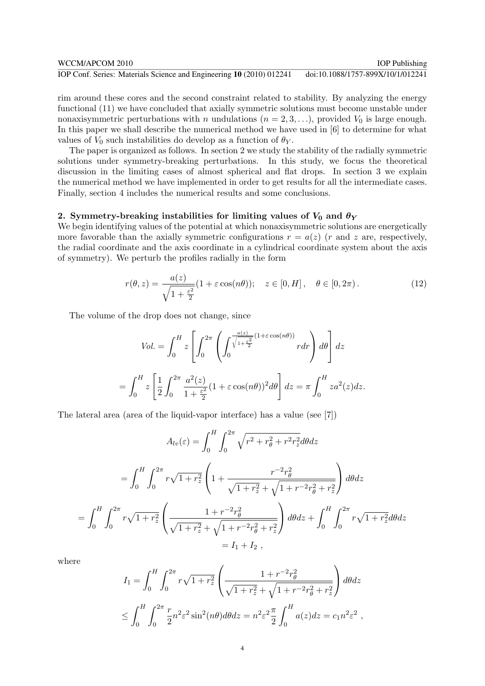| WCCM/APCOM 2010                                                      | <b>IOP</b> Publishing             |
|----------------------------------------------------------------------|-----------------------------------|
| IOP Conf. Series: Materials Science and Engineering 10 (2010) 012241 | doi:10.1088/1757-899X/10/1/012241 |

rim around these cores and the second constraint related to stability. By analyzing the energy functional (11) we have concluded that axially symmetric solutions must become unstable under nonaxisymmetric perturbations with n undulations  $(n = 2, 3, \ldots)$ , provided  $V_0$  is large enough. In this paper we shall describe the numerical method we have used in [6] to determine for what values of  $V_0$  such instabilities do develop as a function of  $\theta_Y$ .

The paper is organized as follows. In section 2 we study the stability of the radially symmetric solutions under symmetry-breaking perturbations. In this study, we focus the theoretical discussion in the limiting cases of almost spherical and flat drops. In section 3 we explain the numerical method we have implemented in order to get results for all the intermediate cases. Finally, section 4 includes the numerical results and some conclusions.

## 2. Symmetry-breaking instabilities for limiting values of  $V_0$  and  $\theta_Y$

We begin identifying values of the potential at which nonaxisymmetric solutions are energetically more favorable than the axially symmetric configurations  $r = a(z)$  (r and z are, respectively, the radial coordinate and the axis coordinate in a cylindrical coordinate system about the axis of symmetry). We perturb the profiles radially in the form

$$
r(\theta, z) = \frac{a(z)}{\sqrt{1 + \frac{\varepsilon^2}{2}}} (1 + \varepsilon \cos(n\theta)); \quad z \in [0, H], \quad \theta \in [0, 2\pi). \tag{12}
$$

The volume of the drop does not change, since

$$
Vol. = \int_0^H z \left[ \int_0^{2\pi} \left( \int_0^{\frac{a(z)}{\sqrt{1 + \frac{\varepsilon^2}{2}}} (1 + \varepsilon \cos(n\theta))} r dr \right) d\theta \right] dz
$$
  
= 
$$
\int_0^H z \left[ \frac{1}{2} \int_0^{2\pi} \frac{a^2(z)}{1 + \frac{\varepsilon^2}{2}} (1 + \varepsilon \cos(n\theta))^2 d\theta \right] dz = \pi \int_0^H z a^2(z) dz.
$$

The lateral area (area of the liquid-vapor interface) has a value (see [7])

$$
A_{lv}(\varepsilon) = \int_0^H \int_0^{2\pi} \sqrt{r^2 + r_\theta^2 + r^2 r_z^2} d\theta dz
$$
  
= 
$$
\int_0^H \int_0^{2\pi} r \sqrt{1 + r_z^2} \left( 1 + \frac{r^{-2} r_\theta^2}{\sqrt{1 + r_z^2} + \sqrt{1 + r^{-2} r_\theta^2 + r_z^2}} \right) d\theta dz
$$
  
= 
$$
\int_0^H \int_0^{2\pi} r \sqrt{1 + r_z^2} \left( \frac{1 + r^{-2} r_\theta^2}{\sqrt{1 + r_z^2} + \sqrt{1 + r^{-2} r_\theta^2 + r_z^2}} \right) d\theta dz + \int_0^H \int_0^{2\pi} r \sqrt{1 + r_z^2} d\theta dz
$$
  
= 
$$
I_1 + I_2,
$$

where

$$
I_1 = \int_0^H \int_0^{2\pi} r\sqrt{1 + r_z^2} \left( \frac{1 + r^{-2}r_\theta^2}{\sqrt{1 + r_z^2} + \sqrt{1 + r^{-2}r_\theta^2 + r_z^2}} \right) d\theta dz
$$
  

$$
\leq \int_0^H \int_0^{2\pi} \frac{r}{2} n^2 \varepsilon^2 \sin^2(n\theta) d\theta dz = n^2 \varepsilon^2 \frac{\pi}{2} \int_0^H a(z) dz = c_1 n^2 \varepsilon^2,
$$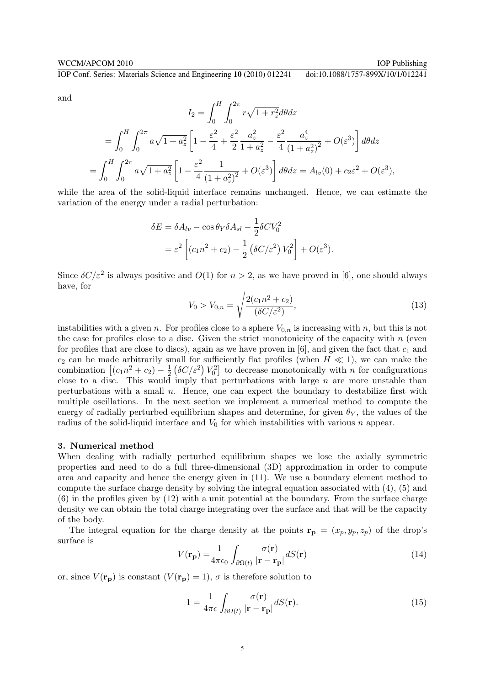and

$$
I_2 = \int_0^H \int_0^{2\pi} r\sqrt{1 + r_z^2} d\theta dz
$$
  
= 
$$
\int_0^H \int_0^{2\pi} a\sqrt{1 + a_z^2} \left[ 1 - \frac{\varepsilon^2}{4} + \frac{\varepsilon^2}{2} \frac{a_z^2}{1 + a_z^2} - \frac{\varepsilon^2}{4} \frac{a_z^4}{(1 + a_z^2)^2} + O(\varepsilon^3) \right] d\theta dz
$$
  
= 
$$
\int_0^H \int_0^{2\pi} a\sqrt{1 + a_z^2} \left[ 1 - \frac{\varepsilon^2}{4} \frac{1}{(1 + a_z^2)^2} + O(\varepsilon^3) \right] d\theta dz = A_{lv}(0) + c_2 \varepsilon^2 + O(\varepsilon^3),
$$

while the area of the solid-liquid interface remains unchanged. Hence, we can estimate the variation of the energy under a radial perturbation:

$$
\delta E = \delta A_{lv} - \cos \theta_Y \delta A_{sl} - \frac{1}{2} \delta C V_0^2
$$
  
=  $\varepsilon^2 \left[ (c_1 n^2 + c_2) - \frac{1}{2} (\delta C/\varepsilon^2) V_0^2 \right] + O(\varepsilon^3).$ 

Since  $\delta C/\varepsilon^2$  is always positive and  $O(1)$  for  $n > 2$ , as we have proved in [6], one should always have, for s

$$
V_0 > V_{0,n} = \sqrt{\frac{2(c_1 n^2 + c_2)}{(\delta C/\varepsilon^2)}},
$$
\n(13)

instabilities with a given n. For profiles close to a sphere  $V_{0,n}$  is increasing with n, but this is not the case for profiles close to a disc. Given the strict monotonicity of the capacity with  $n$  (even for profiles that are close to discs), again as we have proven in [6], and given the fact that  $c_1$  and  $c_2$  can be made arbitrarily small for sufficiently flat profiles (when  $H \ll 1$ ), we can make the  $c_2$  can be made arbitrarily si<br>combination  $\left[ (c_1 n^2 + c_2) - \frac{1}{2} \right]$ 2 aall for s<br> $(\delta C/\varepsilon^2)$  $V_0^2$ l(<br> to decrease monotonically with  $n$  for configurations close to a disc. This would imply that perturbations with large  $n$  are more unstable than perturbations with a small  $n$ . Hence, one can expect the boundary to destabilize first with multiple oscillations. In the next section we implement a numerical method to compute the energy of radially perturbed equilibrium shapes and determine, for given  $\theta_Y$ , the values of the radius of the solid-liquid interface and  $V_0$  for which instabilities with various n appear.

#### 3. Numerical method

When dealing with radially perturbed equilibrium shapes we lose the axially symmetric properties and need to do a full three-dimensional (3D) approximation in order to compute area and capacity and hence the energy given in (11). We use a boundary element method to compute the surface charge density by solving the integral equation associated with (4), (5) and (6) in the profiles given by (12) with a unit potential at the boundary. From the surface charge density we can obtain the total charge integrating over the surface and that will be the capacity of the body.

The integral equation for the charge density at the points  $\mathbf{r}_{\mathbf{p}} = (x_p, y_p, z_p)$  of the drop's surface is

$$
V(\mathbf{r}_{\mathbf{p}}) = \frac{1}{4\pi\epsilon_0} \int_{\partial\Omega(t)} \frac{\sigma(\mathbf{r})}{|\mathbf{r} - \mathbf{r}_{\mathbf{p}}|} dS(\mathbf{r})
$$
(14)

or, since  $V(\mathbf{r_p})$  is constant  $(V(\mathbf{r_p}) = 1)$ ,  $\sigma$  is therefore solution to

$$
1 = \frac{1}{4\pi\epsilon} \int_{\partial\Omega(t)} \frac{\sigma(\mathbf{r})}{|\mathbf{r} - \mathbf{r}_{\mathbf{p}}|} dS(\mathbf{r}).
$$
\n(15)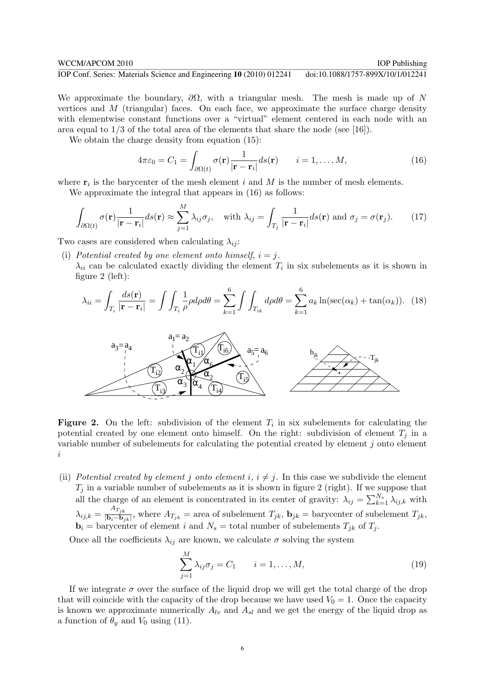We approximate the boundary,  $\partial\Omega$ , with a triangular mesh. The mesh is made up of N vertices and  $M$  (triangular) faces. On each face, we approximate the surface charge density with elementwise constant functions over a "virtual" element centered in each node with an area equal to  $1/3$  of the total area of the elements that share the node (see [16]).

We obtain the charge density from equation  $(15)$ :

$$
4\pi\varepsilon_0 = C_1 = \int_{\partial\Omega(t)} \sigma(\mathbf{r}) \frac{1}{|\mathbf{r} - \mathbf{r}_i|} ds(\mathbf{r}) \qquad i = 1, \dots, M,
$$
\n(16)

where  $r_i$  is the barycenter of the mesh element i and M is the number of mesh elements.

We approximate the integral that appears in (16) as follows:

$$
\int_{\partial\Omega(t)} \sigma(\mathbf{r}) \frac{1}{|\mathbf{r} - \mathbf{r}_i|} ds(\mathbf{r}) \approx \sum_{j=1}^{M} \lambda_{ij} \sigma_j, \quad \text{with } \lambda_{ij} = \int_{T_j} \frac{1}{|\mathbf{r} - \mathbf{r}_i|} ds(\mathbf{r}) \text{ and } \sigma_j = \sigma(\mathbf{r}_j). \tag{17}
$$

Two cases are considered when calculating  $\lambda_{ij}$ :

(i) Potential created by one element onto himself,  $i = j$ .

 $\lambda_{ii}$  can be calculated exactly dividing the element  $T_i$  in six subelements as it is shown in figure 2 (left):

$$
\lambda_{ii} = \int_{T_i} \frac{ds(\mathbf{r})}{|\mathbf{r} - \mathbf{r}_i|} = \int \int_{T_i} \frac{1}{\rho} \rho d\rho d\theta = \sum_{k=1}^6 \int \int_{T_{ik}} d\rho d\theta = \sum_{k=1}^6 a_k \ln(\sec(\alpha_k) + \tan(\alpha_k)). \tag{18}
$$



**Figure 2.** On the left: subdivision of the element  $T_i$  in six subelements for calculating the potential created by one element onto himself. On the right: subdivision of element  $T_i$  in a variable number of subelements for calculating the potential created by element j onto element i

(ii) Potential created by element j onto element i,  $i \neq j$ . In this case we subdivide the element  $T_j$  in a variable number of subelements as it is shown in figure 2 (right). If we suppose that  $\lambda_{ij}$  in a variable number of subelements as it is shown in lighte 2 (right). If we suppose that all the charge of an element is concentrated in its center of gravity:  $\lambda_{ij} = \sum_{k=1}^{N_s} \lambda_{ij,k}$  with  $\lambda_{ij,k} = \frac{A_{T_{jk}}}{\vert \mathbf{b}_i - \mathbf{b}_k \vert}$  $\frac{D_i - D_{jk}}{|\mathbf{b}_i - \mathbf{b}_{jk}|}$ , where  $A_{T_{jk}} =$  area of subelement  $T_{jk}$ ,  $\mathbf{b}_{jk} =$  barycenter of subelement  $T_{jk}$ ,  $\mathbf{b}_i =$  barycenter of element i and  $N_s =$  total number of subelements  $T_{jk}$  of  $T_j$ .

Once all the coefficients  $\lambda_{ij}$  are known, we calculate  $\sigma$  solving the system

$$
\sum_{j=1}^{M} \lambda_{ij} \sigma_j = C_1 \qquad i = 1, \dots, M,
$$
\n(19)

If we integrate  $\sigma$  over the surface of the liquid drop we will get the total charge of the drop that will coincide with the capacity of the drop because we have used  $V_0 = 1$ . Once the capacity is known we approximate numerically  $A_{lv}$  and  $A_{sl}$  and we get the energy of the liquid drop as a function of  $\theta_y$  and  $V_0$  using (11).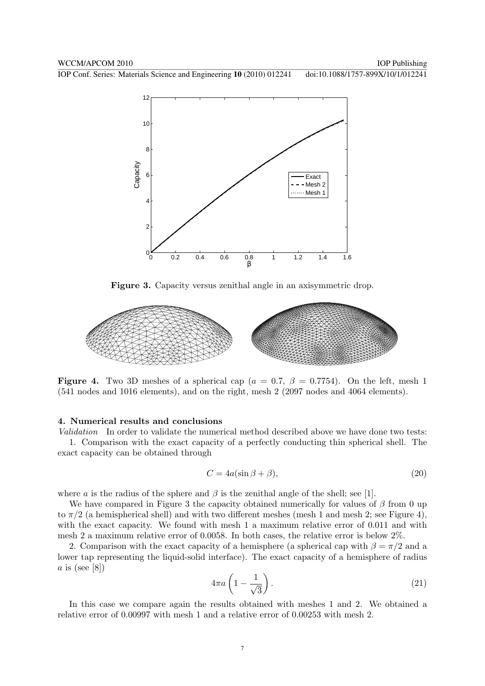

Figure 3. Capacity versus zenithal angle in an axisymmetric drop.



**Figure 4.** Two 3D meshes of a spherical cap ( $a = 0.7$ ,  $\beta = 0.7754$ ). On the left, mesh 1 (541 nodes and 1016 elements), and on the right, mesh 2 (2097 nodes and 4064 elements).

#### 4. Numerical results and conclusions

Validation In order to validate the numerical method described above we have done two tests: 1. Comparison with the exact capacity of a perfectly conducting thin spherical shell. The exact capacity can be obtained through

$$
C = 4a(\sin \beta + \beta),\tag{20}
$$

where a is the radius of the sphere and  $\beta$  is the zenithal angle of the shell; see [1].

We have compared in Figure 3 the capacity obtained numerically for values of  $\beta$  from 0 up to  $\pi/2$  (a hemispherical shell) and with two different meshes (mesh 1 and mesh 2; see Figure 4), with the exact capacity. We found with mesh 1 a maximum relative error of 0.011 and with mesh 2 a maximum relative error of 0.0058. In both cases, the relative error is below 2%.

2. Comparison with the exact capacity of a hemisphere (a spherical cap with  $\beta = \pi/2$  and a lower tap representing the liquid-solid interface). The exact capacity of a hemisphere of radius a is (see [8])  $\mathbf{r}$ 

$$
4\pi a \left(1 - \frac{1}{\sqrt{3}}\right). \tag{21}
$$

In this case we compare again the results obtained with meshes 1 and 2. We obtained a relative error of 0.00997 with mesh 1 and a relative error of 0.00253 with mesh 2.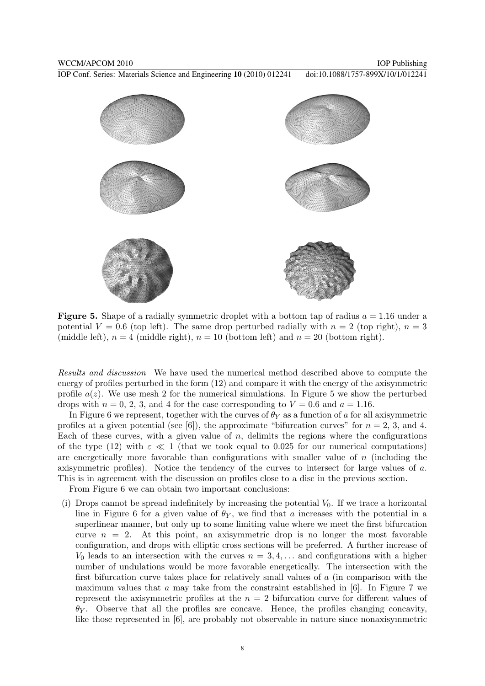

**Figure 5.** Shape of a radially symmetric droplet with a bottom tap of radius  $a = 1.16$  under a potential  $V = 0.6$  (top left). The same drop perturbed radially with  $n = 2$  (top right),  $n = 3$ (middle left),  $n = 4$  (middle right),  $n = 10$  (bottom left) and  $n = 20$  (bottom right).

Results and discussion We have used the numerical method described above to compute the energy of profiles perturbed in the form (12) and compare it with the energy of the axisymmetric profile  $a(z)$ . We use mesh 2 for the numerical simulations. In Figure 5 we show the perturbed drops with  $n = 0, 2, 3$ , and 4 for the case corresponding to  $V = 0.6$  and  $a = 1.16$ .

In Figure 6 we represent, together with the curves of  $\theta_Y$  as a function of a for all axisymmetric profiles at a given potential (see [6]), the approximate "bifurcation curves" for  $n = 2, 3$ , and 4. Each of these curves, with a given value of  $n$ , delimits the regions where the configurations of the type (12) with  $\varepsilon \ll 1$  (that we took equal to 0.025 for our numerical computations) are energetically more favorable than configurations with smaller value of  $n$  (including the axisymmetric profiles). Notice the tendency of the curves to intersect for large values of a. This is in agreement with the discussion on profiles close to a disc in the previous section.

From Figure 6 we can obtain two important conclusions:

(i) Drops cannot be spread indefinitely by increasing the potential  $V_0$ . If we trace a horizontal line in Figure 6 for a given value of  $\theta_Y$ , we find that a increases with the potential in a superlinear manner, but only up to some limiting value where we meet the first bifurcation curve  $n = 2$ . At this point, an axisymmetric drop is no longer the most favorable configuration, and drops with elliptic cross sections will be preferred. A further increase of  $V_0$  leads to an intersection with the curves  $n = 3, 4, \ldots$  and configurations with a higher number of undulations would be more favorable energetically. The intersection with the first bifurcation curve takes place for relatively small values of a (in comparison with the maximum values that a may take from the constraint established in  $[6]$ . In Figure 7 we represent the axisymmetric profiles at the  $n = 2$  bifurcation curve for different values of  $\theta_Y$ . Observe that all the profiles are concave. Hence, the profiles changing concavity, like those represented in [6], are probably not observable in nature since nonaxisymmetric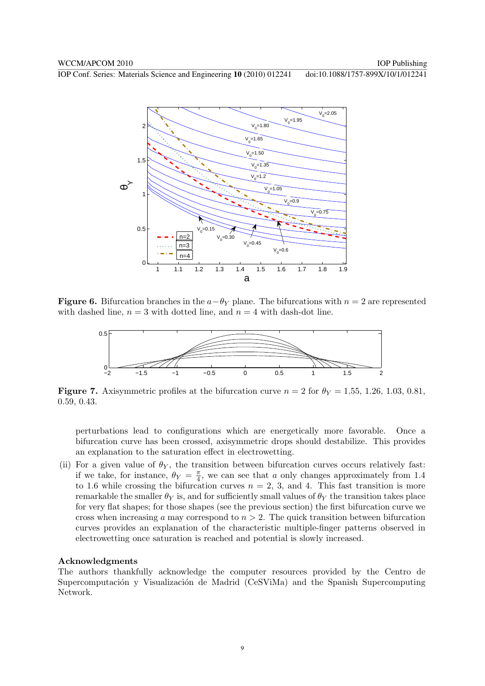

**Figure 6.** Bifurcation branches in the  $a-\theta_Y$  plane. The bifurcations with  $n=2$  are represented with dashed line,  $n = 3$  with dotted line, and  $n = 4$  with dash-dot line.



**Figure 7.** Axisymmetric profiles at the bifurcation curve  $n = 2$  for  $\theta_Y = 1.55, 1.26, 1.03, 0.81$ , 0.59, 0.43.

perturbations lead to configurations which are energetically more favorable. Once a bifurcation curve has been crossed, axisymmetric drops should destabilize. This provides an explanation to the saturation effect in electrowetting.

(ii) For a given value of  $\theta_Y$ , the transition between bifurcation curves occurs relatively fast: if we take, for instance,  $\theta_Y = \frac{\pi}{4}$  $\frac{\pi}{4}$ , we can see that a only changes approximately from 1.4 to 1.6 while crossing the bifurcation curves  $n = 2, 3$ , and 4. This fast transition is more remarkable the smaller  $\theta_Y$  is, and for sufficiently small values of  $\theta_Y$  the transition takes place for very flat shapes; for those shapes (see the previous section) the first bifurcation curve we cross when increasing a may correspond to  $n > 2$ . The quick transition between bifurcation curves provides an explanation of the characteristic multiple-finger patterns observed in electrowetting once saturation is reached and potential is slowly increased.

#### Acknowledgments

The authors thankfully acknowledge the computer resources provided by the Centro de Supercomputación y Visualización de Madrid (CeSViMa) and the Spanish Supercomputing Network.